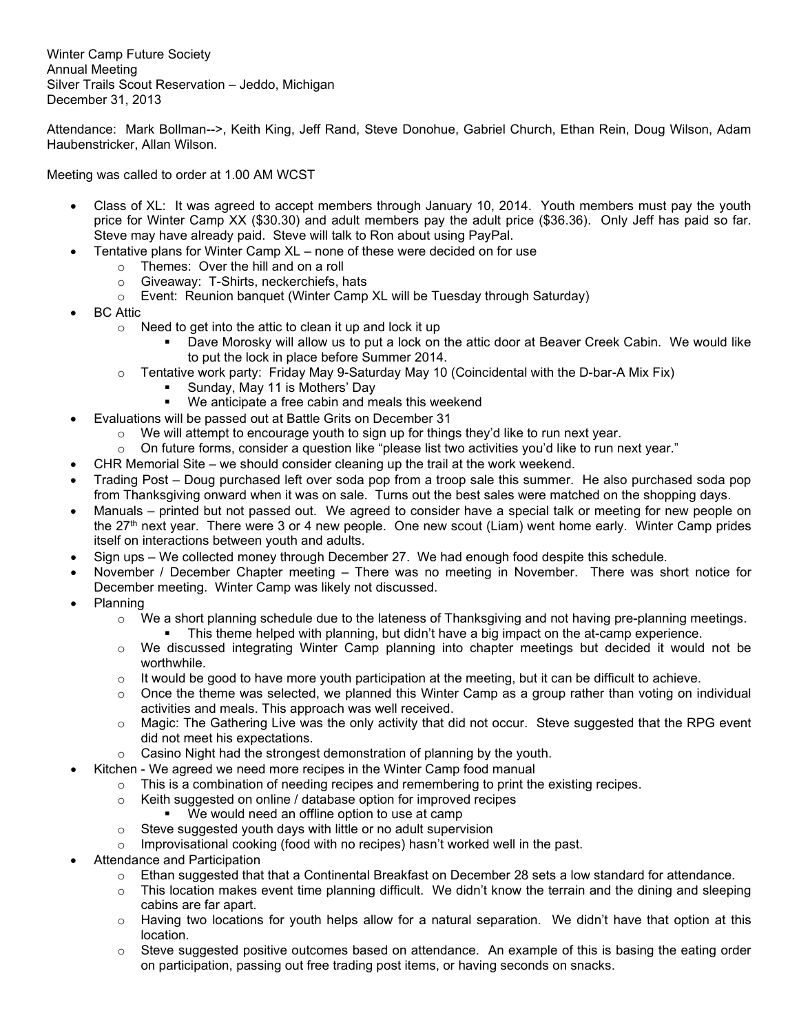Winter Camp Future Society Annual Meeting Silver Trails Scout Reservation – Jeddo, Michigan December 31, 2013

Attendance: Mark Bollman-->, Keith King, Jeff Rand, Steve Donohue, Gabriel Church, Ethan Rein, Doug Wilson, Adam Haubenstricker, Allan Wilson.

Meeting was called to order at 1.00 AM WCST

- Class of XL: It was agreed to accept members through January 10, 2014. Youth members must pay the youth price for Winter Camp XX (\$30.30) and adult members pay the adult price (\$36.36). Only Jeff has paid so far. Steve may have already paid. Steve will talk to Ron about using PayPal.
- Tentative plans for Winter Camp XL none of these were decided on for use
	- o Themes: Over the hill and on a roll
	- o Giveaway: T-Shirts, neckerchiefs, hats
	- $\circ$  Event: Reunion banquet (Winter Camp XL will be Tuesday through Saturday)
- BC Attic
	- $\circ$  Need to get into the attic to clean it up and lock it up
		- Dave Morosky will allow us to put a lock on the attic door at Beaver Creek Cabin. We would like to put the lock in place before Summer 2014.
	- o Tentative work party: Friday May 9-Saturday May 10 (Coincidental with the D-bar-A Mix Fix)
		- **Sunday, May 11 is Mothers' Day**
		- We anticipate a free cabin and meals this weekend
- Evaluations will be passed out at Battle Grits on December 31
	- $\circ$  We will attempt to encourage youth to sign up for things they'd like to run next year.
	- $\circ$  On future forms, consider a question like "please list two activities you'd like to run next year."
	- CHR Memorial Site we should consider cleaning up the trail at the work weekend.
- Trading Post Doug purchased left over soda pop from a troop sale this summer. He also purchased soda pop from Thanksgiving onward when it was on sale. Turns out the best sales were matched on the shopping days.
- Manuals printed but not passed out. We agreed to consider have a special talk or meeting for new people on the 27th next year. There were 3 or 4 new people. One new scout (Liam) went home early. Winter Camp prides itself on interactions between youth and adults.
- Sign ups We collected money through December 27. We had enough food despite this schedule.
- November / December Chapter meeting There was no meeting in November. There was short notice for December meeting. Winter Camp was likely not discussed.
- Planning
	- $\circ$  We a short planning schedule due to the lateness of Thanksgiving and not having pre-planning meetings.
		- This theme helped with planning, but didn't have a big impact on the at-camp experience.
	- $\circ$  We discussed integrating Winter Camp planning into chapter meetings but decided it would not be worthwhile.
	- $\circ$  It would be good to have more youth participation at the meeting, but it can be difficult to achieve.
	- $\circ$  Once the theme was selected, we planned this Winter Camp as a group rather than voting on individual activities and meals. This approach was well received.
	- $\circ$  Magic: The Gathering Live was the only activity that did not occur. Steve suggested that the RPG event did not meet his expectations.
	- o Casino Night had the strongest demonstration of planning by the youth.
	- Kitchen We agreed we need more recipes in the Winter Camp food manual
		- $\circ$  This is a combination of needing recipes and remembering to print the existing recipes.
		- o Keith suggested on online / database option for improved recipes
			- We would need an offline option to use at camp
		- o Steve suggested youth days with little or no adult supervision
		- $\circ$  Improvisational cooking (food with no recipes) hasn't worked well in the past.
- Attendance and Participation
	- $\circ$  Ethan suggested that that a Continental Breakfast on December 28 sets a low standard for attendance.
	- $\circ$  This location makes event time planning difficult. We didn't know the terrain and the dining and sleeping cabins are far apart.
	- $\circ$  Having two locations for youth helps allow for a natural separation. We didn't have that option at this location.
	- $\circ$  Steve suggested positive outcomes based on attendance. An example of this is basing the eating order on participation, passing out free trading post items, or having seconds on snacks.